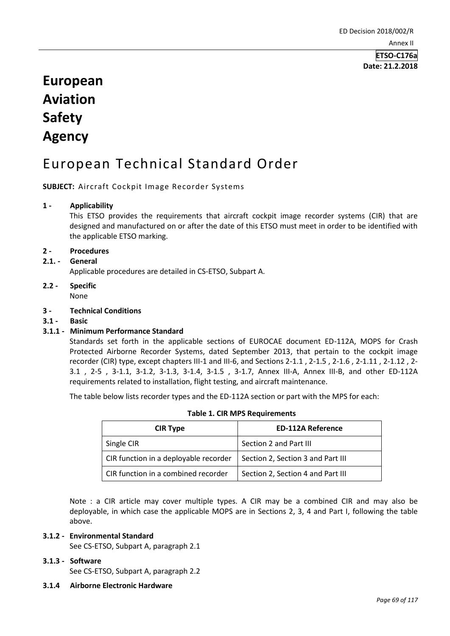# **European Aviation Safety Agency**

# European Technical Standard Order

**SUBJECT:** Aircraft Cockpit Image Recorder Systems

# **1 - Applicability**

This ETSO provides the requirements that aircraft cockpit image recorder systems (CIR) that are designed and manufactured on or after the date of this ETSO must meet in order to be identified with the applicable ETSO marking.

# **2 - Procedures**

**2.1. - General** 

Applicable procedures are detailed in CS-ETSO, Subpart A.

- **2.2 - Specific**  None
- **3 - Technical Conditions**
- **3.1 - Basic**

# **3.1.1 - Minimum Performance Standard**

Standards set forth in the applicable sections of EUROCAE document ED-112A, MOPS for Crash Protected Airborne Recorder Systems, dated September 2013, that pertain to the cockpit image recorder (CIR) type, except chapters III-1 and III-6, and Sections 2-1.1 , 2-1.5 , 2-1.6 , 2-1.11 , 2-1.12 , 2- 3.1 , 2-5 , 3-1.1, 3-1.2, 3-1.3, 3-1.4, 3-1.5 , 3-1.7, Annex III-A, Annex III-B, and other ED-112A requirements related to installation, flight testing, and aircraft maintenance.

The table below lists recorder types and the ED-112A section or part with the MPS for each:

| <b>CIR Type</b>                       | <b>ED-112A Reference</b>          |
|---------------------------------------|-----------------------------------|
| Single CIR                            | Section 2 and Part III            |
| CIR function in a deployable recorder | Section 2, Section 3 and Part III |
| CIR function in a combined recorder   | Section 2, Section 4 and Part III |

**Table 1. CIR MPS Requirements**

Note : a CIR article may cover multiple types. A CIR may be a combined CIR and may also be deployable, in which case the applicable MOPS are in Sections 2, 3, 4 and Part I, following the table above.

## **3.1.2 - Environmental Standard**

See CS-ETSO, Subpart A, paragraph 2.1

#### **3.1.3 - Software**

See CS-ETSO, Subpart A, paragraph 2.2

#### **3.1.4 Airborne Electronic Hardware**